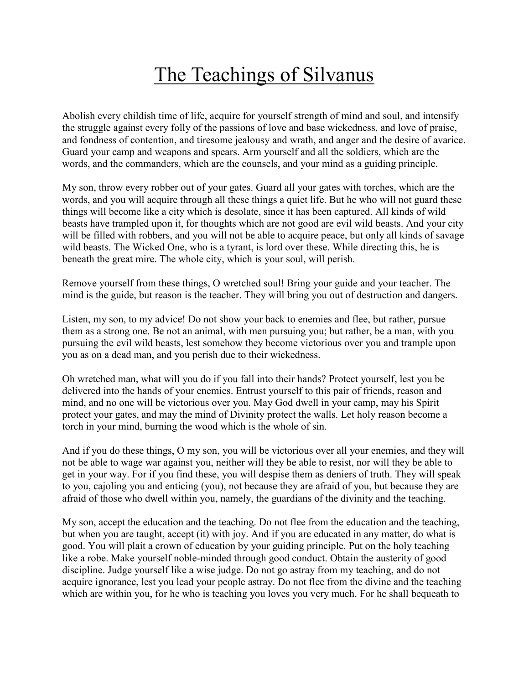## The Teachings of Silvanus

Abolish every childish time of life, acquire for yourself strength of mind and soul, and intensify the struggle against every folly of the passions of love and base wickedness, and love of praise, and fondness of contention, and tiresome jealousy and wrath, and anger and the desire of avarice. Guard your camp and weapons and spears. Arm yourself and all the soldiers, which are the words, and the commanders, which are the counsels, and your mind as a guiding principle.

My son, throw every robber out of your gates. Guard all your gates with torches, which are the words, and you will acquire through all these things a quiet life. But he who will not guard these things will become like a city which is desolate, since it has been captured. All kinds of wild beasts have trampled upon it, for thoughts which are not good are evil wild beasts. And your city will be filled with robbers, and you will not be able to acquire peace, but only all kinds of savage wild beasts. The Wicked One, who is a tyrant, is lord over these. While directing this, he is beneath the great mire. The whole city, which is your soul, will perish.

Remove yourself from these things, O wretched soul! Bring your guide and your teacher. The mind is the guide, but reason is the teacher. They will bring you out of destruction and dangers.

Listen, my son, to my advice! Do not show your back to enemies and flee, but rather, pursue them as a strong one. Be not an animal, with men pursuing you; but rather, be a man, with you pursuing the evil wild beasts, lest somehow they become victorious over you and trample upon you as on a dead man, and you perish due to their wickedness.

Oh wretched man, what will you do if you fall into their hands? Protect yourself, lest you be delivered into the hands of your enemies. Entrust yourself to this pair of friends, reason and mind, and no one will be victorious over you. May God dwell in your camp, may his Spirit protect your gates, and may the mind of Divinity protect the walls. Let holy reason become a torch in your mind, burning the wood which is the whole of sin.

And if you do these things, O my son, you will be victorious over all your enemies, and they will not be able to wage war against you, neither will they be able to resist, nor will they be able to get in your way. For if you find these, you will despise them as deniers of truth. They will speak to you, cajoling you and enticing (you), not because they are afraid of you, but because they are afraid of those who dwell within you, namely, the guardians of the divinity and the teaching.

My son, accept the education and the teaching. Do not flee from the education and the teaching, but when you are taught, accept (it) with joy. And if you are educated in any matter, do what is good. You will plait a crown of education by your guiding principle. Put on the holy teaching like a robe. Make yourself noble-minded through good conduct. Obtain the austerity of good discipline. Judge yourself like a wise judge. Do not go astray from my teaching, and do not acquire ignorance, lest you lead your people astray. Do not flee from the divine and the teaching which are within you, for he who is teaching you loves you very much. For he shall bequeath to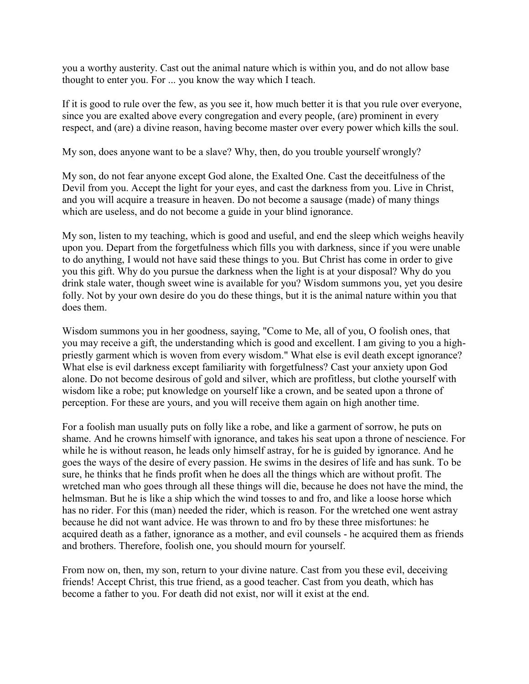you a worthy austerity. Cast out the animal nature which is within you, and do not allow base thought to enter you. For ... you know the way which I teach.

If it is good to rule over the few, as you see it, how much better it is that you rule over everyone, since you are exalted above every congregation and every people, (are) prominent in every respect, and (are) a divine reason, having become master over every power which kills the soul.

My son, does anyone want to be a slave? Why, then, do you trouble yourself wrongly?

My son, do not fear anyone except God alone, the Exalted One. Cast the deceitfulness of the Devil from you. Accept the light for your eyes, and cast the darkness from you. Live in Christ, and you will acquire a treasure in heaven. Do not become a sausage (made) of many things which are useless, and do not become a guide in your blind ignorance.

My son, listen to my teaching, which is good and useful, and end the sleep which weighs heavily upon you. Depart from the forgetfulness which fills you with darkness, since if you were unable to do anything, I would not have said these things to you. But Christ has come in order to give you this gift. Why do you pursue the darkness when the light is at your disposal? Why do you drink stale water, though sweet wine is available for you? Wisdom summons you, yet you desire folly. Not by your own desire do you do these things, but it is the animal nature within you that does them.

Wisdom summons you in her goodness, saying, "Come to Me, all of you, O foolish ones, that you may receive a gift, the understanding which is good and excellent. I am giving to you a highpriestly garment which is woven from every wisdom." What else is evil death except ignorance? What else is evil darkness except familiarity with forgetfulness? Cast your anxiety upon God alone. Do not become desirous of gold and silver, which are profitless, but clothe yourself with wisdom like a robe; put knowledge on yourself like a crown, and be seated upon a throne of perception. For these are yours, and you will receive them again on high another time.

For a foolish man usually puts on folly like a robe, and like a garment of sorrow, he puts on shame. And he crowns himself with ignorance, and takes his seat upon a throne of nescience. For while he is without reason, he leads only himself astray, for he is guided by ignorance. And he goes the ways of the desire of every passion. He swims in the desires of life and has sunk. To be sure, he thinks that he finds profit when he does all the things which are without profit. The wretched man who goes through all these things will die, because he does not have the mind, the helmsman. But he is like a ship which the wind tosses to and fro, and like a loose horse which has no rider. For this (man) needed the rider, which is reason. For the wretched one went astray because he did not want advice. He was thrown to and fro by these three misfortunes: he acquired death as a father, ignorance as a mother, and evil counsels - he acquired them as friends and brothers. Therefore, foolish one, you should mourn for yourself.

From now on, then, my son, return to your divine nature. Cast from you these evil, deceiving friends! Accept Christ, this true friend, as a good teacher. Cast from you death, which has become a father to you. For death did not exist, nor will it exist at the end.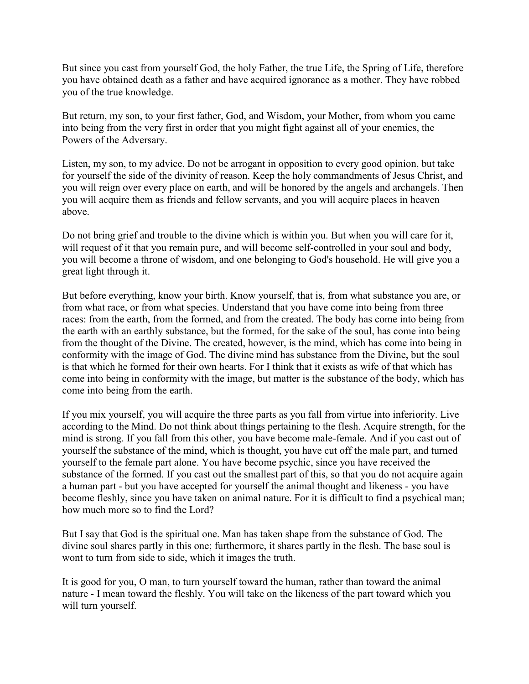But since you cast from yourself God, the holy Father, the true Life, the Spring of Life, therefore you have obtained death as a father and have acquired ignorance as a mother. They have robbed you of the true knowledge.

But return, my son, to your first father, God, and Wisdom, your Mother, from whom you came into being from the very first in order that you might fight against all of your enemies, the Powers of the Adversary.

Listen, my son, to my advice. Do not be arrogant in opposition to every good opinion, but take for yourself the side of the divinity of reason. Keep the holy commandments of Jesus Christ, and you will reign over every place on earth, and will be honored by the angels and archangels. Then you will acquire them as friends and fellow servants, and you will acquire places in heaven above.

Do not bring grief and trouble to the divine which is within you. But when you will care for it, will request of it that you remain pure, and will become self-controlled in your soul and body, you will become a throne of wisdom, and one belonging to God's household. He will give you a great light through it.

But before everything, know your birth. Know yourself, that is, from what substance you are, or from what race, or from what species. Understand that you have come into being from three races: from the earth, from the formed, and from the created. The body has come into being from the earth with an earthly substance, but the formed, for the sake of the soul, has come into being from the thought of the Divine. The created, however, is the mind, which has come into being in conformity with the image of God. The divine mind has substance from the Divine, but the soul is that which he formed for their own hearts. For I think that it exists as wife of that which has come into being in conformity with the image, but matter is the substance of the body, which has come into being from the earth.

If you mix yourself, you will acquire the three parts as you fall from virtue into inferiority. Live according to the Mind. Do not think about things pertaining to the flesh. Acquire strength, for the mind is strong. If you fall from this other, you have become male-female. And if you cast out of yourself the substance of the mind, which is thought, you have cut off the male part, and turned yourself to the female part alone. You have become psychic, since you have received the substance of the formed. If you cast out the smallest part of this, so that you do not acquire again a human part - but you have accepted for yourself the animal thought and likeness - you have become fleshly, since you have taken on animal nature. For it is difficult to find a psychical man; how much more so to find the Lord?

But I say that God is the spiritual one. Man has taken shape from the substance of God. The divine soul shares partly in this one; furthermore, it shares partly in the flesh. The base soul is wont to turn from side to side, which it images the truth.

It is good for you, O man, to turn yourself toward the human, rather than toward the animal nature - I mean toward the fleshly. You will take on the likeness of the part toward which you will turn yourself.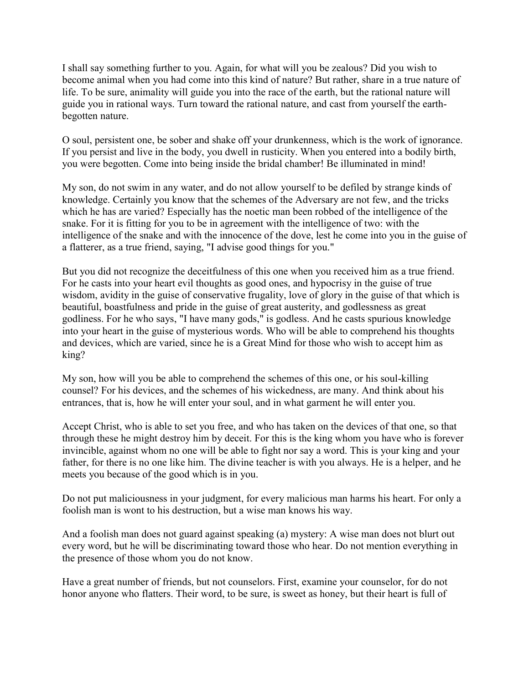I shall say something further to you. Again, for what will you be zealous? Did you wish to become animal when you had come into this kind of nature? But rather, share in a true nature of life. To be sure, animality will guide you into the race of the earth, but the rational nature will guide you in rational ways. Turn toward the rational nature, and cast from yourself the earthbegotten nature.

O soul, persistent one, be sober and shake off your drunkenness, which is the work of ignorance. If you persist and live in the body, you dwell in rusticity. When you entered into a bodily birth, you were begotten. Come into being inside the bridal chamber! Be illuminated in mind!

My son, do not swim in any water, and do not allow yourself to be defiled by strange kinds of knowledge. Certainly you know that the schemes of the Adversary are not few, and the tricks which he has are varied? Especially has the noetic man been robbed of the intelligence of the snake. For it is fitting for you to be in agreement with the intelligence of two: with the intelligence of the snake and with the innocence of the dove, lest he come into you in the guise of a flatterer, as a true friend, saying, "I advise good things for you."

But you did not recognize the deceitfulness of this one when you received him as a true friend. For he casts into your heart evil thoughts as good ones, and hypocrisy in the guise of true wisdom, avidity in the guise of conservative frugality, love of glory in the guise of that which is beautiful, boastfulness and pride in the guise of great austerity, and godlessness as great godliness. For he who says, "I have many gods," is godless. And he casts spurious knowledge into your heart in the guise of mysterious words. Who will be able to comprehend his thoughts and devices, which are varied, since he is a Great Mind for those who wish to accept him as king?

My son, how will you be able to comprehend the schemes of this one, or his soul-killing counsel? For his devices, and the schemes of his wickedness, are many. And think about his entrances, that is, how he will enter your soul, and in what garment he will enter you.

Accept Christ, who is able to set you free, and who has taken on the devices of that one, so that through these he might destroy him by deceit. For this is the king whom you have who is forever invincible, against whom no one will be able to fight nor say a word. This is your king and your father, for there is no one like him. The divine teacher is with you always. He is a helper, and he meets you because of the good which is in you.

Do not put maliciousness in your judgment, for every malicious man harms his heart. For only a foolish man is wont to his destruction, but a wise man knows his way.

And a foolish man does not guard against speaking (a) mystery: A wise man does not blurt out every word, but he will be discriminating toward those who hear. Do not mention everything in the presence of those whom you do not know.

Have a great number of friends, but not counselors. First, examine your counselor, for do not honor anyone who flatters. Their word, to be sure, is sweet as honey, but their heart is full of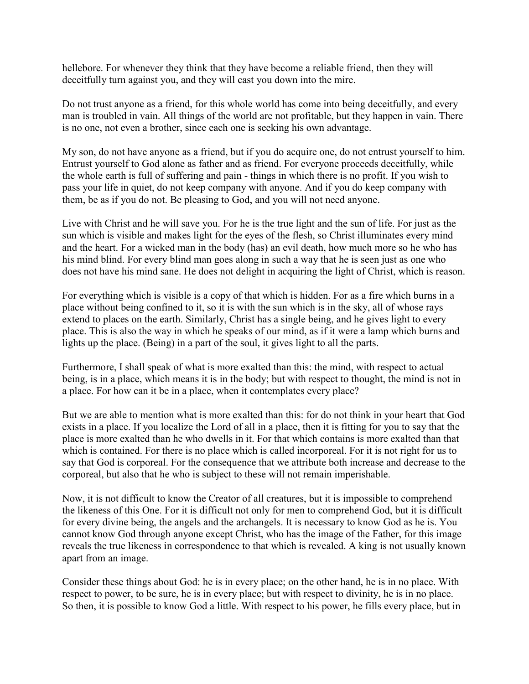hellebore. For whenever they think that they have become a reliable friend, then they will deceitfully turn against you, and they will cast you down into the mire.

Do not trust anyone as a friend, for this whole world has come into being deceitfully, and every man is troubled in vain. All things of the world are not profitable, but they happen in vain. There is no one, not even a brother, since each one is seeking his own advantage.

My son, do not have anyone as a friend, but if you do acquire one, do not entrust yourself to him. Entrust yourself to God alone as father and as friend. For everyone proceeds deceitfully, while the whole earth is full of suffering and pain - things in which there is no profit. If you wish to pass your life in quiet, do not keep company with anyone. And if you do keep company with them, be as if you do not. Be pleasing to God, and you will not need anyone.

Live with Christ and he will save you. For he is the true light and the sun of life. For just as the sun which is visible and makes light for the eyes of the flesh, so Christ illuminates every mind and the heart. For a wicked man in the body (has) an evil death, how much more so he who has his mind blind. For every blind man goes along in such a way that he is seen just as one who does not have his mind sane. He does not delight in acquiring the light of Christ, which is reason.

For everything which is visible is a copy of that which is hidden. For as a fire which burns in a place without being confined to it, so it is with the sun which is in the sky, all of whose rays extend to places on the earth. Similarly, Christ has a single being, and he gives light to every place. This is also the way in which he speaks of our mind, as if it were a lamp which burns and lights up the place. (Being) in a part of the soul, it gives light to all the parts.

Furthermore, I shall speak of what is more exalted than this: the mind, with respect to actual being, is in a place, which means it is in the body; but with respect to thought, the mind is not in a place. For how can it be in a place, when it contemplates every place?

But we are able to mention what is more exalted than this: for do not think in your heart that God exists in a place. If you localize the Lord of all in a place, then it is fitting for you to say that the place is more exalted than he who dwells in it. For that which contains is more exalted than that which is contained. For there is no place which is called incorporeal. For it is not right for us to say that God is corporeal. For the consequence that we attribute both increase and decrease to the corporeal, but also that he who is subject to these will not remain imperishable.

Now, it is not difficult to know the Creator of all creatures, but it is impossible to comprehend the likeness of this One. For it is difficult not only for men to comprehend God, but it is difficult for every divine being, the angels and the archangels. It is necessary to know God as he is. You cannot know God through anyone except Christ, who has the image of the Father, for this image reveals the true likeness in correspondence to that which is revealed. A king is not usually known apart from an image.

Consider these things about God: he is in every place; on the other hand, he is in no place. With respect to power, to be sure, he is in every place; but with respect to divinity, he is in no place. So then, it is possible to know God a little. With respect to his power, he fills every place, but in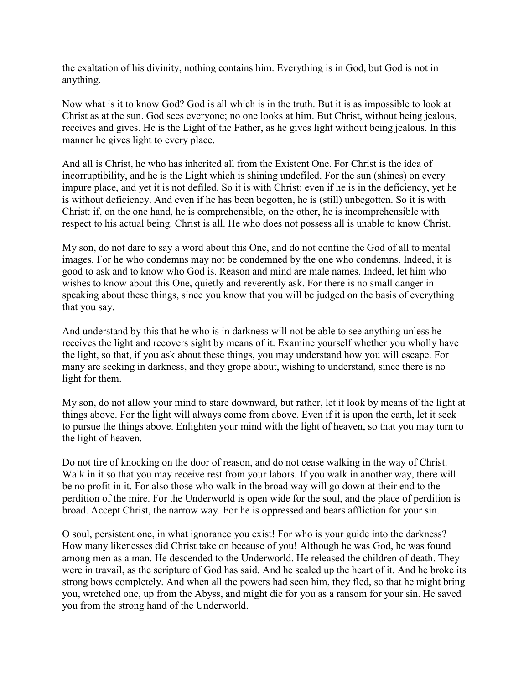the exaltation of his divinity, nothing contains him. Everything is in God, but God is not in anything.

Now what is it to know God? God is all which is in the truth. But it is as impossible to look at Christ as at the sun. God sees everyone; no one looks at him. But Christ, without being jealous, receives and gives. He is the Light of the Father, as he gives light without being jealous. In this manner he gives light to every place.

And all is Christ, he who has inherited all from the Existent One. For Christ is the idea of incorruptibility, and he is the Light which is shining undefiled. For the sun (shines) on every impure place, and yet it is not defiled. So it is with Christ: even if he is in the deficiency, yet he is without deficiency. And even if he has been begotten, he is (still) unbegotten. So it is with Christ: if, on the one hand, he is comprehensible, on the other, he is incomprehensible with respect to his actual being. Christ is all. He who does not possess all is unable to know Christ.

My son, do not dare to say a word about this One, and do not confine the God of all to mental images. For he who condemns may not be condemned by the one who condemns. Indeed, it is good to ask and to know who God is. Reason and mind are male names. Indeed, let him who wishes to know about this One, quietly and reverently ask. For there is no small danger in speaking about these things, since you know that you will be judged on the basis of everything that you say.

And understand by this that he who is in darkness will not be able to see anything unless he receives the light and recovers sight by means of it. Examine yourself whether you wholly have the light, so that, if you ask about these things, you may understand how you will escape. For many are seeking in darkness, and they grope about, wishing to understand, since there is no light for them.

My son, do not allow your mind to stare downward, but rather, let it look by means of the light at things above. For the light will always come from above. Even if it is upon the earth, let it seek to pursue the things above. Enlighten your mind with the light of heaven, so that you may turn to the light of heaven.

Do not tire of knocking on the door of reason, and do not cease walking in the way of Christ. Walk in it so that you may receive rest from your labors. If you walk in another way, there will be no profit in it. For also those who walk in the broad way will go down at their end to the perdition of the mire. For the Underworld is open wide for the soul, and the place of perdition is broad. Accept Christ, the narrow way. For he is oppressed and bears affliction for your sin.

O soul, persistent one, in what ignorance you exist! For who is your guide into the darkness? How many likenesses did Christ take on because of you! Although he was God, he was found among men as a man. He descended to the Underworld. He released the children of death. They were in travail, as the scripture of God has said. And he sealed up the heart of it. And he broke its strong bows completely. And when all the powers had seen him, they fled, so that he might bring you, wretched one, up from the Abyss, and might die for you as a ransom for your sin. He saved you from the strong hand of the Underworld.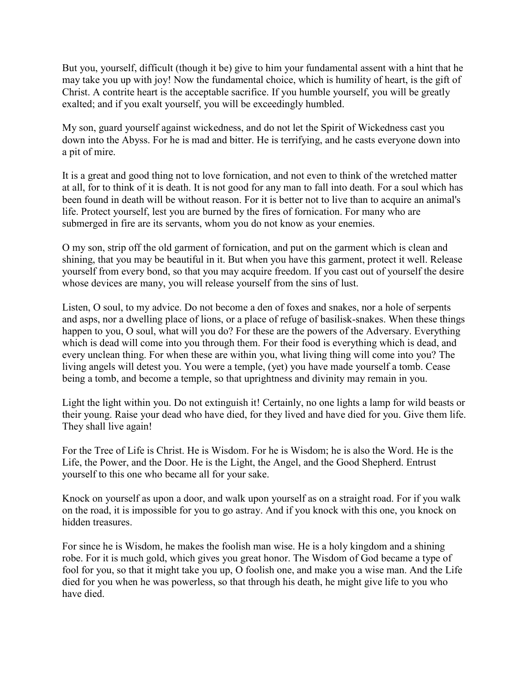But you, yourself, difficult (though it be) give to him your fundamental assent with a hint that he may take you up with joy! Now the fundamental choice, which is humility of heart, is the gift of Christ. A contrite heart is the acceptable sacrifice. If you humble yourself, you will be greatly exalted; and if you exalt yourself, you will be exceedingly humbled.

My son, guard yourself against wickedness, and do not let the Spirit of Wickedness cast you down into the Abyss. For he is mad and bitter. He is terrifying, and he casts everyone down into a pit of mire.

It is a great and good thing not to love fornication, and not even to think of the wretched matter at all, for to think of it is death. It is not good for any man to fall into death. For a soul which has been found in death will be without reason. For it is better not to live than to acquire an animal's life. Protect yourself, lest you are burned by the fires of fornication. For many who are submerged in fire are its servants, whom you do not know as your enemies.

O my son, strip off the old garment of fornication, and put on the garment which is clean and shining, that you may be beautiful in it. But when you have this garment, protect it well. Release yourself from every bond, so that you may acquire freedom. If you cast out of yourself the desire whose devices are many, you will release yourself from the sins of lust.

Listen, O soul, to my advice. Do not become a den of foxes and snakes, nor a hole of serpents and asps, nor a dwelling place of lions, or a place of refuge of basilisk-snakes. When these things happen to you, O soul, what will you do? For these are the powers of the Adversary. Everything which is dead will come into you through them. For their food is everything which is dead, and every unclean thing. For when these are within you, what living thing will come into you? The living angels will detest you. You were a temple, (yet) you have made yourself a tomb. Cease being a tomb, and become a temple, so that uprightness and divinity may remain in you.

Light the light within you. Do not extinguish it! Certainly, no one lights a lamp for wild beasts or their young. Raise your dead who have died, for they lived and have died for you. Give them life. They shall live again!

For the Tree of Life is Christ. He is Wisdom. For he is Wisdom; he is also the Word. He is the Life, the Power, and the Door. He is the Light, the Angel, and the Good Shepherd. Entrust yourself to this one who became all for your sake.

Knock on yourself as upon a door, and walk upon yourself as on a straight road. For if you walk on the road, it is impossible for you to go astray. And if you knock with this one, you knock on hidden treasures.

For since he is Wisdom, he makes the foolish man wise. He is a holy kingdom and a shining robe. For it is much gold, which gives you great honor. The Wisdom of God became a type of fool for you, so that it might take you up, O foolish one, and make you a wise man. And the Life died for you when he was powerless, so that through his death, he might give life to you who have died.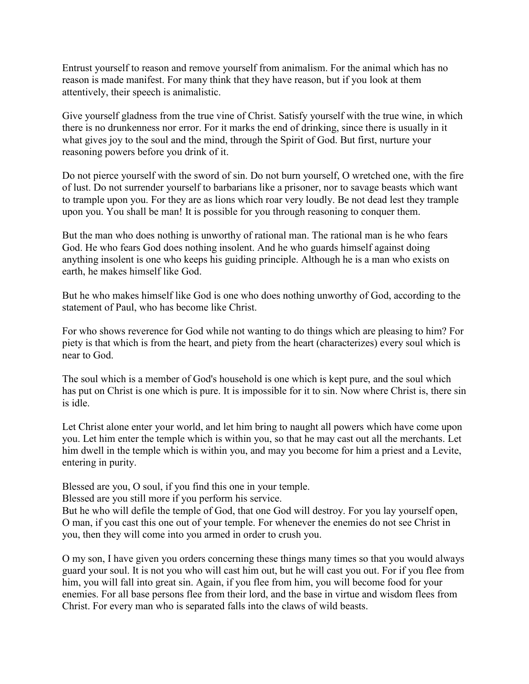Entrust yourself to reason and remove yourself from animalism. For the animal which has no reason is made manifest. For many think that they have reason, but if you look at them attentively, their speech is animalistic.

Give yourself gladness from the true vine of Christ. Satisfy yourself with the true wine, in which there is no drunkenness nor error. For it marks the end of drinking, since there is usually in it what gives joy to the soul and the mind, through the Spirit of God. But first, nurture your reasoning powers before you drink of it.

Do not pierce yourself with the sword of sin. Do not burn yourself, O wretched one, with the fire of lust. Do not surrender yourself to barbarians like a prisoner, nor to savage beasts which want to trample upon you. For they are as lions which roar very loudly. Be not dead lest they trample upon you. You shall be man! It is possible for you through reasoning to conquer them.

But the man who does nothing is unworthy of rational man. The rational man is he who fears God. He who fears God does nothing insolent. And he who guards himself against doing anything insolent is one who keeps his guiding principle. Although he is a man who exists on earth, he makes himself like God.

But he who makes himself like God is one who does nothing unworthy of God, according to the statement of Paul, who has become like Christ.

For who shows reverence for God while not wanting to do things which are pleasing to him? For piety is that which is from the heart, and piety from the heart (characterizes) every soul which is near to God.

The soul which is a member of God's household is one which is kept pure, and the soul which has put on Christ is one which is pure. It is impossible for it to sin. Now where Christ is, there sin is idle.

Let Christ alone enter your world, and let him bring to naught all powers which have come upon you. Let him enter the temple which is within you, so that he may cast out all the merchants. Let him dwell in the temple which is within you, and may you become for him a priest and a Levite, entering in purity.

Blessed are you, O soul, if you find this one in your temple.

Blessed are you still more if you perform his service.

But he who will defile the temple of God, that one God will destroy. For you lay yourself open, O man, if you cast this one out of your temple. For whenever the enemies do not see Christ in you, then they will come into you armed in order to crush you.

O my son, I have given you orders concerning these things many times so that you would always guard your soul. It is not you who will cast him out, but he will cast you out. For if you flee from him, you will fall into great sin. Again, if you flee from him, you will become food for your enemies. For all base persons flee from their lord, and the base in virtue and wisdom flees from Christ. For every man who is separated falls into the claws of wild beasts.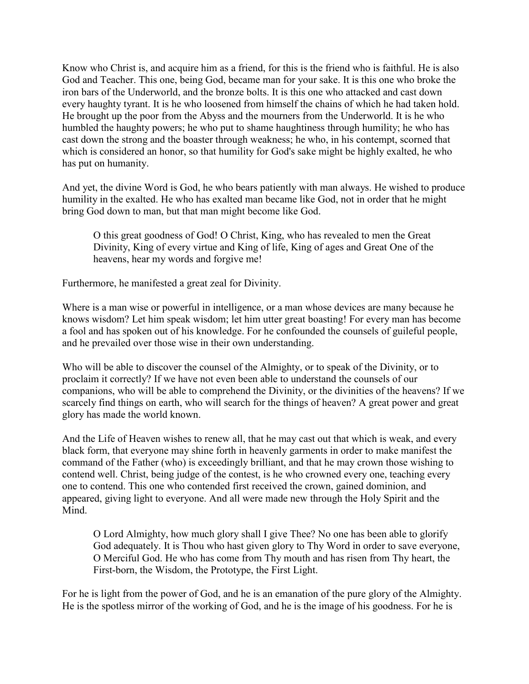Know who Christ is, and acquire him as a friend, for this is the friend who is faithful. He is also God and Teacher. This one, being God, became man for your sake. It is this one who broke the iron bars of the Underworld, and the bronze bolts. It is this one who attacked and cast down every haughty tyrant. It is he who loosened from himself the chains of which he had taken hold. He brought up the poor from the Abyss and the mourners from the Underworld. It is he who humbled the haughty powers; he who put to shame haughtiness through humility; he who has cast down the strong and the boaster through weakness; he who, in his contempt, scorned that which is considered an honor, so that humility for God's sake might be highly exalted, he who has put on humanity.

And yet, the divine Word is God, he who bears patiently with man always. He wished to produce humility in the exalted. He who has exalted man became like God, not in order that he might bring God down to man, but that man might become like God.

O this great goodness of God! O Christ, King, who has revealed to men the Great Divinity, King of every virtue and King of life, King of ages and Great One of the heavens, hear my words and forgive me!

Furthermore, he manifested a great zeal for Divinity.

Where is a man wise or powerful in intelligence, or a man whose devices are many because he knows wisdom? Let him speak wisdom; let him utter great boasting! For every man has become a fool and has spoken out of his knowledge. For he confounded the counsels of guileful people, and he prevailed over those wise in their own understanding.

Who will be able to discover the counsel of the Almighty, or to speak of the Divinity, or to proclaim it correctly? If we have not even been able to understand the counsels of our companions, who will be able to comprehend the Divinity, or the divinities of the heavens? If we scarcely find things on earth, who will search for the things of heaven? A great power and great glory has made the world known.

And the Life of Heaven wishes to renew all, that he may cast out that which is weak, and every black form, that everyone may shine forth in heavenly garments in order to make manifest the command of the Father (who) is exceedingly brilliant, and that he may crown those wishing to contend well. Christ, being judge of the contest, is he who crowned every one, teaching every one to contend. This one who contended first received the crown, gained dominion, and appeared, giving light to everyone. And all were made new through the Holy Spirit and the Mind.

O Lord Almighty, how much glory shall I give Thee? No one has been able to glorify God adequately. It is Thou who hast given glory to Thy Word in order to save everyone, O Merciful God. He who has come from Thy mouth and has risen from Thy heart, the First-born, the Wisdom, the Prototype, the First Light.

For he is light from the power of God, and he is an emanation of the pure glory of the Almighty. He is the spotless mirror of the working of God, and he is the image of his goodness. For he is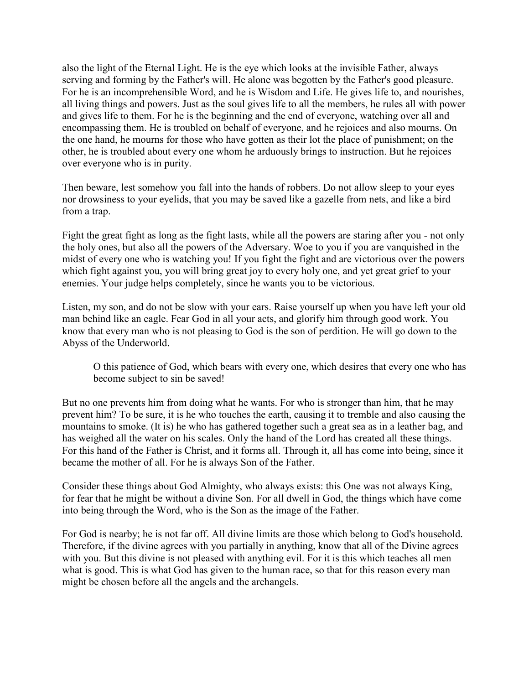also the light of the Eternal Light. He is the eye which looks at the invisible Father, always serving and forming by the Father's will. He alone was begotten by the Father's good pleasure. For he is an incomprehensible Word, and he is Wisdom and Life. He gives life to, and nourishes, all living things and powers. Just as the soul gives life to all the members, he rules all with power and gives life to them. For he is the beginning and the end of everyone, watching over all and encompassing them. He is troubled on behalf of everyone, and he rejoices and also mourns. On the one hand, he mourns for those who have gotten as their lot the place of punishment; on the other, he is troubled about every one whom he arduously brings to instruction. But he rejoices over everyone who is in purity.

Then beware, lest somehow you fall into the hands of robbers. Do not allow sleep to your eyes nor drowsiness to your eyelids, that you may be saved like a gazelle from nets, and like a bird from a trap.

Fight the great fight as long as the fight lasts, while all the powers are staring after you - not only the holy ones, but also all the powers of the Adversary. Woe to you if you are vanquished in the midst of every one who is watching you! If you fight the fight and are victorious over the powers which fight against you, you will bring great joy to every holy one, and yet great grief to your enemies. Your judge helps completely, since he wants you to be victorious.

Listen, my son, and do not be slow with your ears. Raise yourself up when you have left your old man behind like an eagle. Fear God in all your acts, and glorify him through good work. You know that every man who is not pleasing to God is the son of perdition. He will go down to the Abyss of the Underworld.

O this patience of God, which bears with every one, which desires that every one who has become subject to sin be saved!

But no one prevents him from doing what he wants. For who is stronger than him, that he may prevent him? To be sure, it is he who touches the earth, causing it to tremble and also causing the mountains to smoke. (It is) he who has gathered together such a great sea as in a leather bag, and has weighed all the water on his scales. Only the hand of the Lord has created all these things. For this hand of the Father is Christ, and it forms all. Through it, all has come into being, since it became the mother of all. For he is always Son of the Father.

Consider these things about God Almighty, who always exists: this One was not always King, for fear that he might be without a divine Son. For all dwell in God, the things which have come into being through the Word, who is the Son as the image of the Father.

For God is nearby; he is not far off. All divine limits are those which belong to God's household. Therefore, if the divine agrees with you partially in anything, know that all of the Divine agrees with you. But this divine is not pleased with anything evil. For it is this which teaches all men what is good. This is what God has given to the human race, so that for this reason every man might be chosen before all the angels and the archangels.